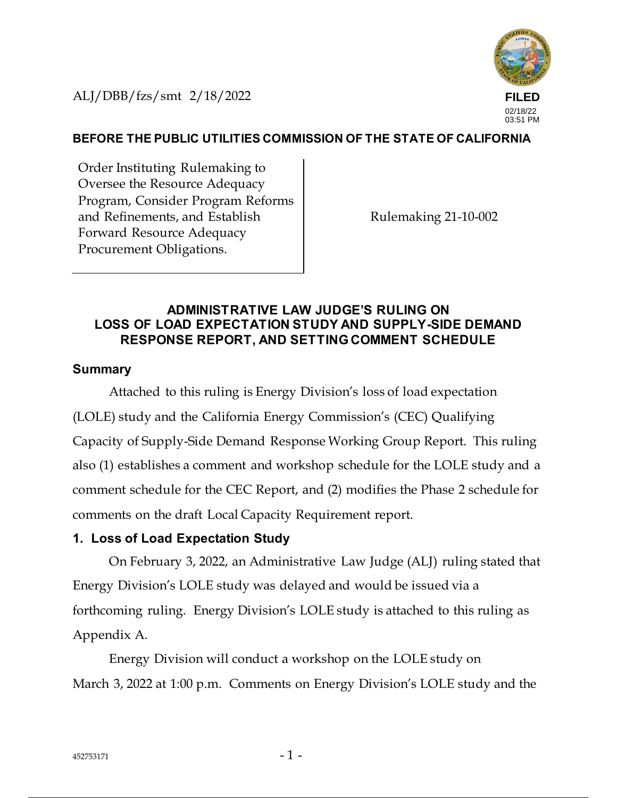**FILED** 02/18/22 03:51 PM

ALJ/DBB/fzs/smt 2/18/2022

### **BEFORE THE PUBLIC UTILITIES COMMISSION OF THE STATE OF CALIFORNIA**

Order Instituting Rulemaking to Oversee the Resource Adequacy Program, Consider Program Reforms and Refinements, and Establish Forward Resource Adequacy Procurement Obligations.

Rulemaking 21-10-002

#### **ADMINISTRATIVE LAW JUDGE'S RULING ON LOSS OF LOAD EXPECTATION STUDY AND SUPPLY-SIDE DEMAND RESPONSE REPORT, AND SETTING COMMENT SCHEDULE**

#### **Summary**

Attached to this ruling is Energy Division's loss of load expectation (LOLE) study and the California Energy Commission's (CEC) Qualifying Capacity of Supply-Side Demand Response Working Group Report. This ruling also (1) establishes a comment and workshop schedule for the LOLE study and a comment schedule for the CEC Report, and (2) modifies the Phase 2 schedule for comments on the draft Local Capacity Requirement report.

#### **1. Loss of Load Expectation Study**

On February 3, 2022, an Administrative Law Judge (ALJ) ruling stated that Energy Division's LOLE study was delayed and would be issued via a forthcoming ruling. Energy Division's LOLE study is attached to this ruling as Appendix A.

Energy Division will conduct a workshop on the LOLE study on March 3, 2022 at 1:00 p.m. Comments on Energy Division's LOLE study and the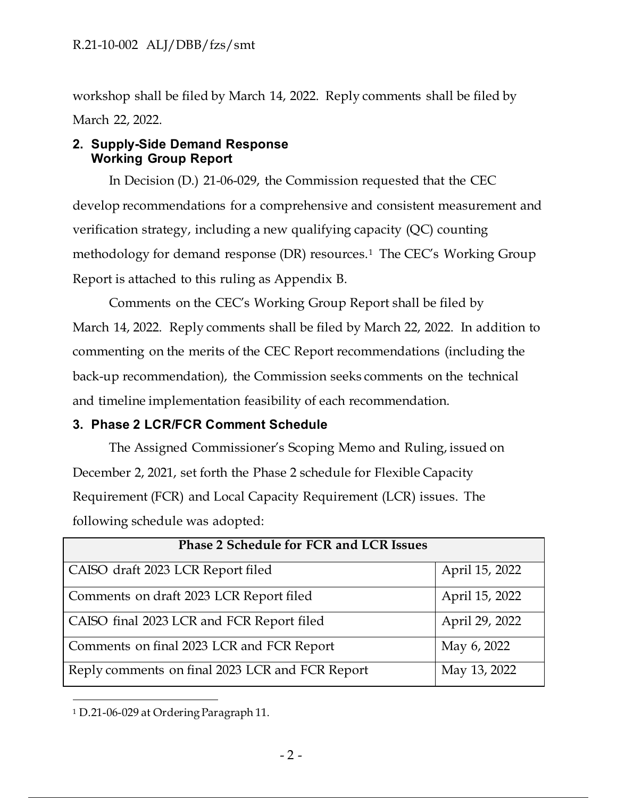workshop shall be filed by March 14, 2022. Reply comments shall be filed by March 22, 2022.

### **2. Supply-Side Demand Response Working Group Report**

In Decision (D.) 21-06-029, the Commission requested that the CEC develop recommendations for a comprehensive and consistent measurement and verification strategy, including a new qualifying capacity (QC) counting methodology for demand response (DR) resources.<sup>1</sup> The CEC's Working Group Report is attached to this ruling as Appendix B.

Comments on the CEC's Working Group Report shall be filed by March 14, 2022. Reply comments shall be filed by March 22, 2022. In addition to commenting on the merits of the CEC Report recommendations (including the back-up recommendation), the Commission seeks comments on the technical and timeline implementation feasibility of each recommendation.

## **3. Phase 2 LCR/FCR Comment Schedule**

The Assigned Commissioner's Scoping Memo and Ruling, issued on December 2, 2021, set forth the Phase 2 schedule for Flexible Capacity Requirement (FCR) and Local Capacity Requirement (LCR) issues. The following schedule was adopted:

| <b>Phase 2 Schedule for FCR and LCR Issues</b>  |                |
|-------------------------------------------------|----------------|
| CAISO draft 2023 LCR Report filed               | April 15, 2022 |
| Comments on draft 2023 LCR Report filed         | April 15, 2022 |
| CAISO final 2023 LCR and FCR Report filed       | April 29, 2022 |
| Comments on final 2023 LCR and FCR Report       | May 6, 2022    |
| Reply comments on final 2023 LCR and FCR Report | May 13, 2022   |

<sup>1</sup> D.21-06-029 at Ordering Paragraph 11.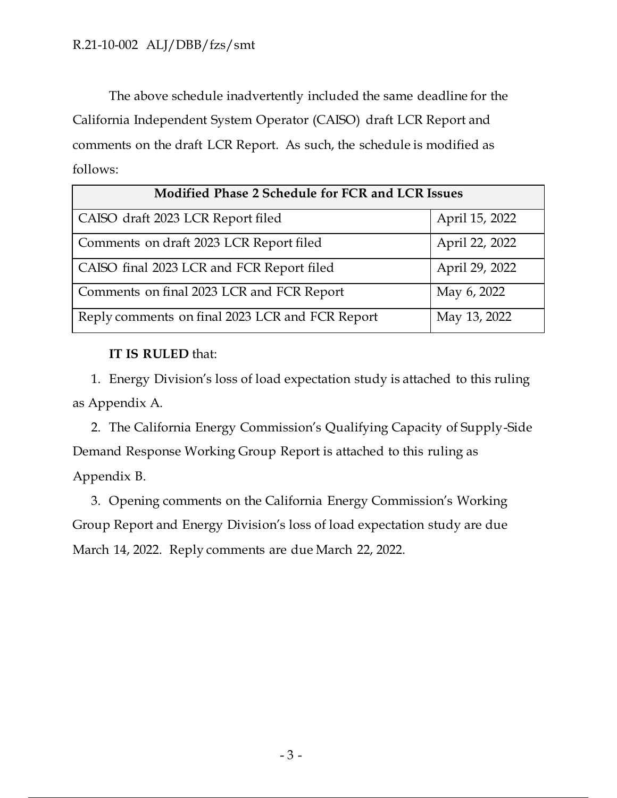The above schedule inadvertently included the same deadline for the California Independent System Operator (CAISO) draft LCR Report and comments on the draft LCR Report. As such, the schedule is modified as follows:

| Modified Phase 2 Schedule for FCR and LCR Issues |                |
|--------------------------------------------------|----------------|
| CAISO draft 2023 LCR Report filed                | April 15, 2022 |
| Comments on draft 2023 LCR Report filed          | April 22, 2022 |
| CAISO final 2023 LCR and FCR Report filed        | April 29, 2022 |
| Comments on final 2023 LCR and FCR Report        | May 6, 2022    |
| Reply comments on final 2023 LCR and FCR Report  | May 13, 2022   |

## **IT IS RULED** that:

1. Energy Division's loss of load expectation study is attached to this ruling as Appendix A.

2. The California Energy Commission's Qualifying Capacity of Supply-Side Demand Response Working Group Report is attached to this ruling as Appendix B.

3. Opening comments on the California Energy Commission's Working Group Report and Energy Division's loss of load expectation study are due March 14, 2022. Reply comments are due March 22, 2022.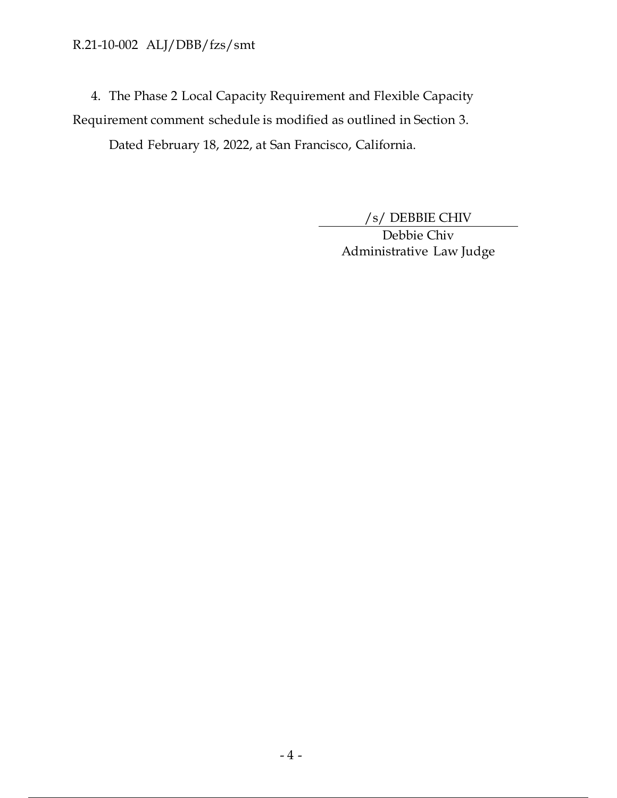4. The Phase 2 Local Capacity Requirement and Flexible Capacity Requirement comment schedule is modified as outlined in Section 3.

Dated February 18, 2022, at San Francisco, California.

/s/ DEBBIE CHIV

Debbie Chiv Administrative Law Judge